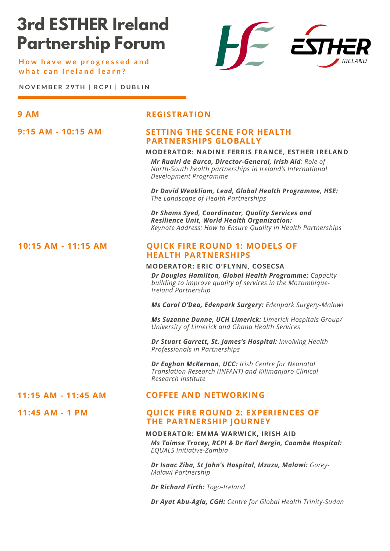# **3rd ESTHER Ireland Partnership Forum**

**H o w h a v e w e p r o g r e s s e d a n d w h a t c a n I r e l a n d l e a r n ?**



**N O V E M B E R 2 9 T H | R C P I | D U B L I N**

**9:15 AM - 10:15 AM**

**11:45 AM - 1 PM**

### **9 AM REGISTRATION**

#### **SETTING THE SCENE FOR HEALTH PARTNERSHIPS GLOBALLY**

#### **MODERATOR: NADINE FERRIS FRANCE, ESTHER IRELAND**

*Mr Ruairi de Burca, Director-General, Irish Aid: Role of North-South health partnerships in Ireland's International Development Programme*

*Dr David Weakliam, Lead, Global Health Programme, HSE: The Landscape of Health Partnerships*

*Dr Shams Syed, Coordinator, Quality Services and Resilience Unit, World Health Organization: Keynote Address: How to Ensure Quality in Health Partnerships*

#### **QUICK FIRE ROUND 1: MODELS OF HEALTH PARTNERSHIPS 10:15 AM - 11:15 AM**

#### **MODERATOR: ERIC O'FLYNN, COSECSA**

*Dr Douglas Hamilton, Global Health Programme: Capacity building to improve quality of services in the Mozambique-Ireland Partnership*

*Ms Carol O'Dea, Edenpark Surgery: Edenpark Surgery-Malawi*

*Ms Suzanne Dunne, UCH Limerick: Limerick Hospitals Group/ University of Limerick and Ghana Health Services*

*Dr Stuart Garrett, St. James's Hospital: Involving Health Professionals in Partnerships*

*Dr Eoghan McKernan, UCC: Irish Centre for Neonatal Translation Research (INFANT) and Kilimanjaro Clinical Research Institute*

#### **11:15 AM - 11:45 AM COFFEE AND NETWORKING**

#### **QUICK FIRE ROUND 2: EXPERIENCES OF THE PARTNERSHIP JOURNEY**

#### **MODERATOR: EMMA WARWICK, IRISH AID**

*Ms Taimse Tracey, RCPI & Dr Karl Bergin, Coombe Hospital: EQUALS Initiative-Zambia*

*Dr Isaac Ziba, St John's Hospital, Mzuzu, Malawi: Gorey-Malawi Partnership*

*Dr Richard Firth: Togo-Ireland*

*Dr Ayat Abu-Agla, CGH: Centre for Global Health Trinity-Sudan*